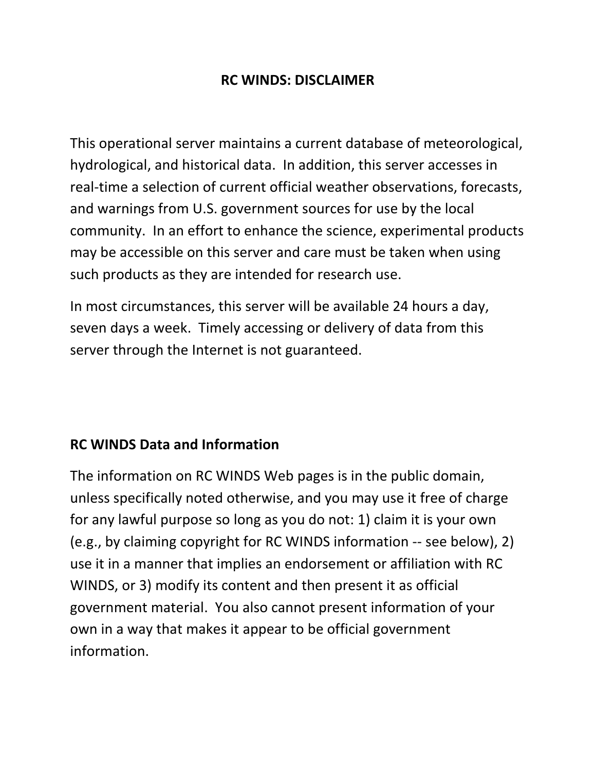#### **RC WINDS: DISCLAIMER**

This operational server maintains a current database of meteorological, hydrological, and historical data. In addition, this server accesses in real-time a selection of current official weather observations, forecasts, and warnings from U.S. government sources for use by the local community. In an effort to enhance the science, experimental products may be accessible on this server and care must be taken when using such products as they are intended for research use.

In most circumstances, this server will be available 24 hours a day, seven days a week. Timely accessing or delivery of data from this server through the Internet is not guaranteed.

# **RC WINDS Data and Information**

The information on RC WINDS Web pages is in the public domain, unless specifically noted otherwise, and you may use it free of charge for any lawful purpose so long as you do not: 1) claim it is your own (e.g., by claiming copyright for RC WINDS information -- see below), 2) use it in a manner that implies an endorsement or affiliation with RC WINDS, or 3) modify its content and then present it as official government material. You also cannot present information of your own in a way that makes it appear to be official government information.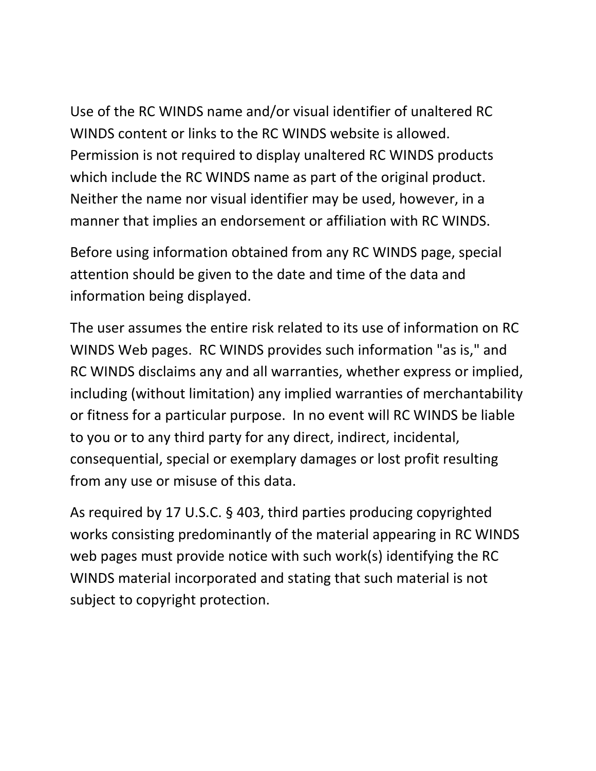Use of the RC WINDS name and/or visual identifier of unaltered RC WINDS content or links to the RC WINDS website is allowed. Permission is not required to display unaltered RC WINDS products which include the RC WINDS name as part of the original product. Neither the name nor visual identifier may be used, however, in a manner that implies an endorsement or affiliation with RC WINDS.

Before using information obtained from any RC WINDS page, special attention should be given to the date and time of the data and information being displayed.

The user assumes the entire risk related to its use of information on RC WINDS Web pages. RC WINDS provides such information "as is," and RC WINDS disclaims any and all warranties, whether express or implied, including (without limitation) any implied warranties of merchantability or fitness for a particular purpose. In no event will RC WINDS be liable to you or to any third party for any direct, indirect, incidental, consequential, special or exemplary damages or lost profit resulting from any use or misuse of this data.

As required by 17 U.S.C. § 403, third parties producing copyrighted works consisting predominantly of the material appearing in RC WINDS web pages must provide notice with such work(s) identifying the RC WINDS material incorporated and stating that such material is not subject to copyright protection.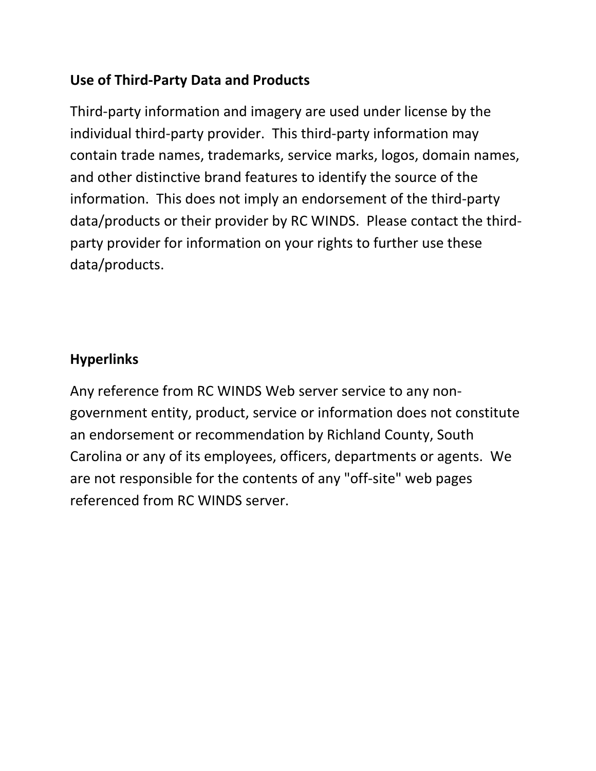### **Use of Third-Party Data and Products**

Third-party information and imagery are used under license by the individual third-party provider. This third-party information may contain trade names, trademarks, service marks, logos, domain names, and other distinctive brand features to identify the source of the information. This does not imply an endorsement of the third-party data/products or their provider by RC WINDS. Please contact the thirdparty provider for information on your rights to further use these data/products.

# **Hyperlinks**

Any reference from RC WINDS Web server service to any nongovernment entity, product, service or information does not constitute an endorsement or recommendation by Richland County, South Carolina or any of its employees, officers, departments or agents. We are not responsible for the contents of any "off-site" web pages referenced from RC WINDS server.